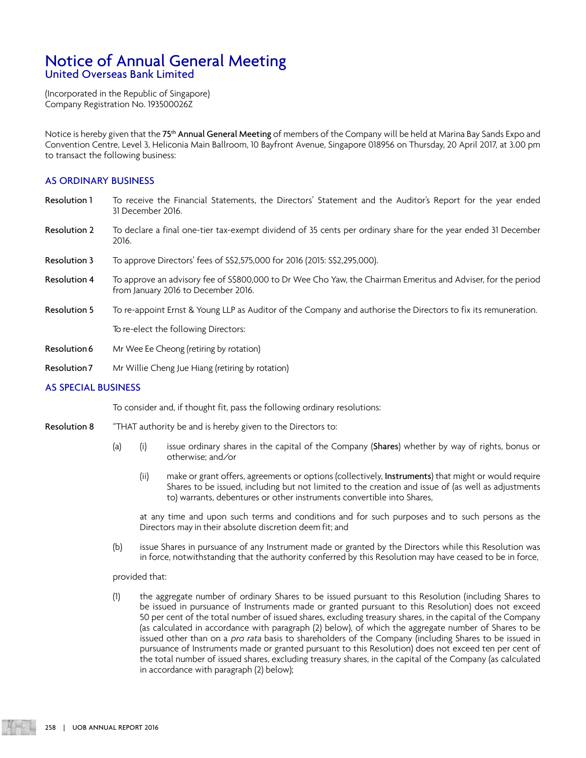## Notice of Annual General Meeting United Overseas Bank Limited

(Incorporated in the Republic of Singapore) Company Registration No. 193500026Z

Notice is hereby given that the 75<sup>th</sup> Annual General Meeting of members of the Company will be held at Marina Bay Sands Expo and Convention Centre, Level 3, Heliconia Main Ballroom, 10 Bayfront Avenue, Singapore 018956 on Thursday, 20 April 2017, at 3.00 pm to transact the following business:

### AS ORDINARY BUSINESS

- Resolution 1 To receive the Financial Statements, the Directors' Statement and the Auditor's Report for the year ended 31 December 2016.
- Resolution 2 To declare a final one-tier tax-exempt dividend of 35 cents per ordinary share for the year ended 31 December 2016.
- Resolution 3 To approve Directors' fees of S\$2,575,000 for 2016 (2015: S\$2,295,000).
- Resolution 4 To approve an advisory fee of S\$800,000 to Dr Wee Cho Yaw, the Chairman Emeritus and Adviser, for the period from January 2016 to December 2016.
- Resolution 5 To re-appoint Ernst & Young LLP as Auditor of the Company and authorise the Directors to fix its remuneration.

To re-elect the following Directors:

- Resolution 6 Mr Wee Ee Cheong (retiring by rotation)
- Resolution 7 Mr Willie Cheng Jue Hiang (retiring by rotation)

### AS SPECIAL BUSINESS

To consider and, if thought fit, pass the following ordinary resolutions:

- Resolution 8 "THAT authority be and is hereby given to the Directors to:
	- (a) (i) issue ordinary shares in the capital of the Company (Shares) whether by way of rights, bonus or otherwise; and/or
		- (ii) make or grant offers, agreements or options (collectively, Instruments) that might or would require Shares to be issued, including but not limited to the creation and issue of (as well as adjustments to) warrants, debentures or other instruments convertible into Shares,

at any time and upon such terms and conditions and for such purposes and to such persons as the Directors may in their absolute discretion deem fit; and

(b) issue Shares in pursuance of any Instrument made or granted by the Directors while this Resolution was in force, notwithstanding that the authority conferred by this Resolution may have ceased to be in force,

provided that:

(1) the aggregate number of ordinary Shares to be issued pursuant to this Resolution (including Shares to be issued in pursuance of Instruments made or granted pursuant to this Resolution) does not exceed 50 per cent of the total number of issued shares, excluding treasury shares, in the capital of the Company (as calculated in accordance with paragraph (2) below), of which the aggregate number of Shares to be issued other than on a pro rata basis to shareholders of the Company (including Shares to be issued in pursuance of Instruments made or granted pursuant to this Resolution) does not exceed ten per cent of the total number of issued shares, excluding treasury shares, in the capital of the Company (as calculated in accordance with paragraph (2) below);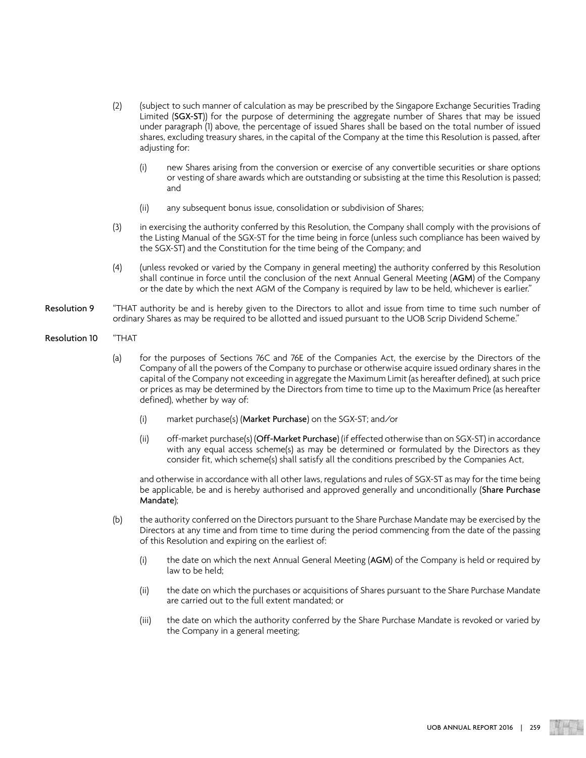- (2) (subject to such manner of calculation as may be prescribed by the Singapore Exchange Securities Trading Limited (SGX-ST)) for the purpose of determining the aggregate number of Shares that may be issued under paragraph (1) above, the percentage of issued Shares shall be based on the total number of issued shares, excluding treasury shares, in the capital of the Company at the time this Resolution is passed, after adjusting for:
	- (i) new Shares arising from the conversion or exercise of any convertible securities or share options or vesting of share awards which are outstanding or subsisting at the time this Resolution is passed; and
	- (ii) any subsequent bonus issue, consolidation or subdivision of Shares;
- (3) in exercising the authority conferred by this Resolution, the Company shall comply with the provisions of the Listing Manual of the SGX-ST for the time being in force (unless such compliance has been waived by the SGX-ST) and the Constitution for the time being of the Company; and
- (4) (unless revoked or varied by the Company in general meeting) the authority conferred by this Resolution shall continue in force until the conclusion of the next Annual General Meeting (AGM) of the Company or the date by which the next AGM of the Company is required by law to be held, whichever is earlier."
- Resolution 9 "THAT authority be and is hereby given to the Directors to allot and issue from time to time such number of ordinary Shares as may be required to be allotted and issued pursuant to the UOB Scrip Dividend Scheme."
- Resolution 10 "THAT
	- (a) for the purposes of Sections 76C and 76E of the Companies Act, the exercise by the Directors of the Company of all the powers of the Company to purchase or otherwise acquire issued ordinary shares in the capital of the Company not exceeding in aggregate the Maximum Limit (as hereafter defined), at such price or prices as may be determined by the Directors from time to time up to the Maximum Price (as hereafter defined), whether by way of:
		- (i) market purchase(s) (Market Purchase) on the SGX-ST; and/or
		- (ii) off-market purchase(s) (Off-Market Purchase) (if effected otherwise than on SGX-ST) in accordance with any equal access scheme(s) as may be determined or formulated by the Directors as they consider fit, which scheme(s) shall satisfy all the conditions prescribed by the Companies Act,

and otherwise in accordance with all other laws, regulations and rules of SGX-ST as may for the time being be applicable, be and is hereby authorised and approved generally and unconditionally (Share Purchase Mandate);

- (b) the authority conferred on the Directors pursuant to the Share Purchase Mandate may be exercised by the Directors at any time and from time to time during the period commencing from the date of the passing of this Resolution and expiring on the earliest of:
	- (i) the date on which the next Annual General Meeting (AGM) of the Company is held or required by law to be held;
	- (ii) the date on which the purchases or acquisitions of Shares pursuant to the Share Purchase Mandate are carried out to the full extent mandated; or
	- (iii) the date on which the authority conferred by the Share Purchase Mandate is revoked or varied by the Company in a general meeting;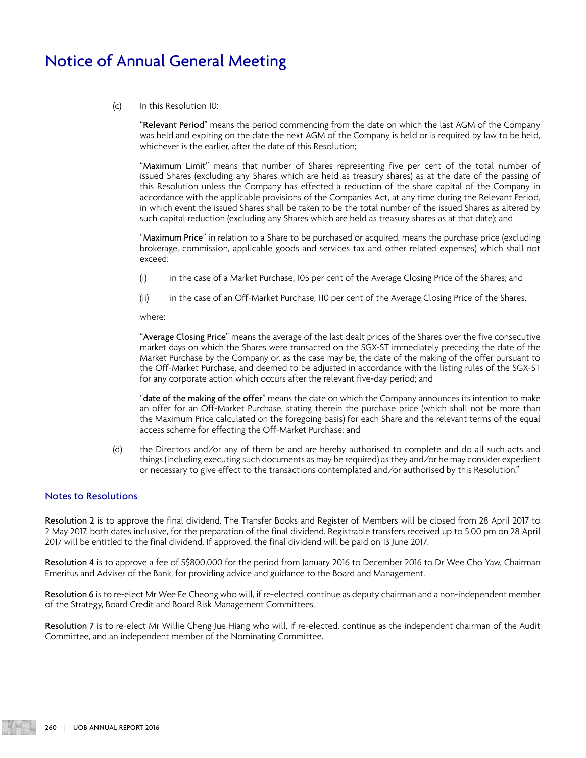# Notice of Annual General Meeting

#### (c) In this Resolution 10:

"Relevant Period" means the period commencing from the date on which the last AGM of the Company was held and expiring on the date the next AGM of the Company is held or is required by law to be held, whichever is the earlier, after the date of this Resolution;

"Maximum Limit" means that number of Shares representing five per cent of the total number of issued Shares (excluding any Shares which are held as treasury shares) as at the date of the passing of this Resolution unless the Company has effected a reduction of the share capital of the Company in accordance with the applicable provisions of the Companies Act, at any time during the Relevant Period, in which event the issued Shares shall be taken to be the total number of the issued Shares as altered by such capital reduction (excluding any Shares which are held as treasury shares as at that date); and

"Maximum Price" in relation to a Share to be purchased or acquired, means the purchase price (excluding brokerage, commission, applicable goods and services tax and other related expenses) which shall not exceed:

- (i) in the case of a Market Purchase, 105 per cent of the Average Closing Price of the Shares; and
- (ii) in the case of an Off-Market Purchase, 110 per cent of the Average Closing Price of the Shares,

where:

"Average Closing Price" means the average of the last dealt prices of the Shares over the five consecutive market days on which the Shares were transacted on the SGX-ST immediately preceding the date of the Market Purchase by the Company or, as the case may be, the date of the making of the offer pursuant to the Off-Market Purchase, and deemed to be adjusted in accordance with the listing rules of the SGX-ST for any corporate action which occurs after the relevant five-day period; and

" $\tt{date}$  of the making of the offer" means the date on which the Company announces its intention to make an offer for an Off-Market Purchase, stating therein the purchase price (which shall not be more than the Maximum Price calculated on the foregoing basis) for each Share and the relevant terms of the equal access scheme for effecting the Off-Market Purchase; and

(d) the Directors and/or any of them be and are hereby authorised to complete and do all such acts and things (including executing such documents as may be required) as they and/or he may consider expedient or necessary to give effect to the transactions contemplated and/or authorised by this Resolution."

### Notes to Resolutions

Resolution 2 is to approve the final dividend. The Transfer Books and Register of Members will be closed from 28 April 2017 to 2 May 2017, both dates inclusive, for the preparation of the final dividend. Registrable transfers received up to 5.00 pm on 28 April 2017 will be entitled to the final dividend. If approved, the final dividend will be paid on 13 June 2017.

Resolution 4 is to approve a fee of S\$800,000 for the period from January 2016 to December 2016 to Dr Wee Cho Yaw, Chairman Emeritus and Adviser of the Bank, for providing advice and guidance to the Board and Management.

Resolution 6 is to re-elect Mr Wee Ee Cheong who will, if re-elected, continue as deputy chairman and a non-independent member of the Strategy, Board Credit and Board Risk Management Committees.

Resolution 7 is to re-elect Mr Willie Cheng Jue Hiang who will, if re-elected, continue as the independent chairman of the Audit Committee, and an independent member of the Nominating Committee.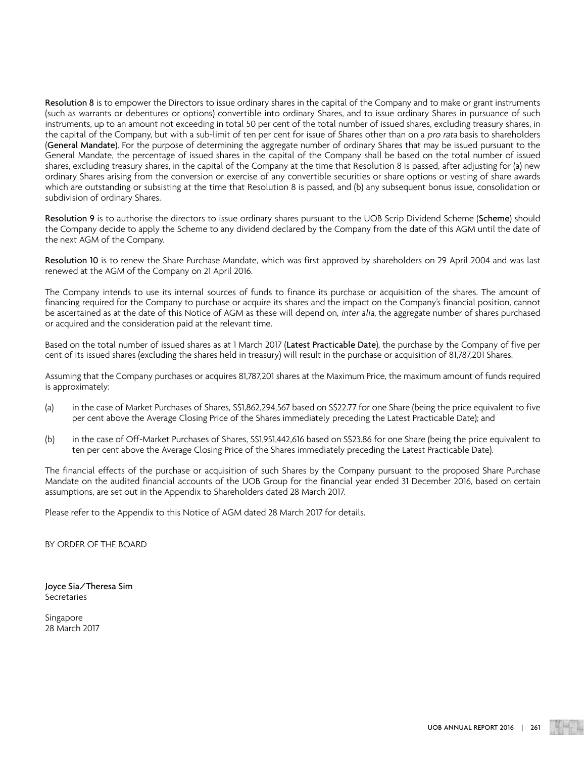Resolution 8 is to empower the Directors to issue ordinary shares in the capital of the Company and to make or grant instruments (such as warrants or debentures or options) convertible into ordinary Shares, and to issue ordinary Shares in pursuance of such instruments, up to an amount not exceeding in total 50 per cent of the total number of issued shares, excluding treasury shares, in the capital of the Company, but with a sub-limit of ten per cent for issue of Shares other than on a pro rata basis to shareholders (General Mandate). For the purpose of determining the aggregate number of ordinary Shares that may be issued pursuant to the General Mandate, the percentage of issued shares in the capital of the Company shall be based on the total number of issued shares, excluding treasury shares, in the capital of the Company at the time that Resolution 8 is passed, after adjusting for (a) new ordinary Shares arising from the conversion or exercise of any convertible securities or share options or vesting of share awards which are outstanding or subsisting at the time that Resolution 8 is passed, and (b) any subsequent bonus issue, consolidation or subdivision of ordinary Shares.

Resolution 9 is to authorise the directors to issue ordinary shares pursuant to the UOB Scrip Dividend Scheme (Scheme) should the Company decide to apply the Scheme to any dividend declared by the Company from the date of this AGM until the date of the next AGM of the Company.

Resolution 10 is to renew the Share Purchase Mandate, which was first approved by shareholders on 29 April 2004 and was last renewed at the AGM of the Company on 21 April 2016.

The Company intends to use its internal sources of funds to finance its purchase or acquisition of the shares. The amount of financing required for the Company to purchase or acquire its shares and the impact on the Company's financial position, cannot be ascertained as at the date of this Notice of AGM as these will depend on, inter alia, the aggregate number of shares purchased or acquired and the consideration paid at the relevant time.

Based on the total number of issued shares as at 1 March 2017 (Latest Practicable Date), the purchase by the Company of five per cent of its issued shares (excluding the shares held in treasury) will result in the purchase or acquisition of 81,787,201 Shares.

Assuming that the Company purchases or acquires 81,787,201 shares at the Maximum Price, the maximum amount of funds required is approximately:

- (a) in the case of Market Purchases of Shares, S\$1,862,294,567 based on S\$22.77 for one Share (being the price equivalent to five per cent above the Average Closing Price of the Shares immediately preceding the Latest Practicable Date); and
- (b) in the case of Off-Market Purchases of Shares, S\$1,951,442,616 based on S\$23.86 for one Share (being the price equivalent to ten per cent above the Average Closing Price of the Shares immediately preceding the Latest Practicable Date).

The financial effects of the purchase or acquisition of such Shares by the Company pursuant to the proposed Share Purchase Mandate on the audited financial accounts of the UOB Group for the financial year ended 31 December 2016, based on certain assumptions, are set out in the Appendix to Shareholders dated 28 March 2017.

Please refer to the Appendix to this Notice of AGM dated 28 March 2017 for details.

BY ORDER OF THE BOARD

Joyce Sia/Theresa Sim **Secretaries** 

Singapore 28 March 2017